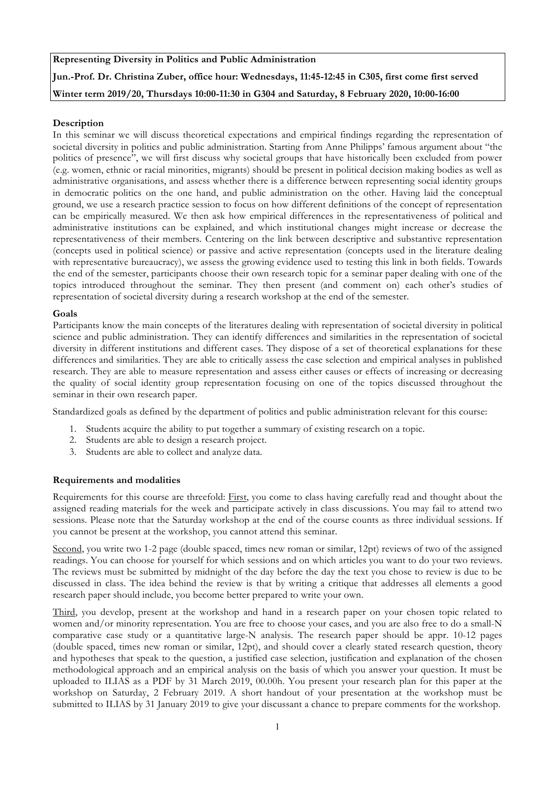# **Representing Diversity in Politics and Public Administration Jun.-Prof. Dr. Christina Zuber, office hour: Wednesdays, 11:45-12:45 in C305, first come first served Winter term 2019/20, Thursdays 10:00-11:30 in G304 and Saturday, 8 February 2020, 10:00-16:00**

# **Description**

In this seminar we will discuss theoretical expectations and empirical findings regarding the representation of societal diversity in politics and public administration. Starting from Anne Philipps' famous argument about "the politics of presence", we will first discuss why societal groups that have historically been excluded from power (e.g. women, ethnic or racial minorities, migrants) should be present in political decision making bodies as well as administrative organisations, and assess whether there is a difference between representing social identity groups in democratic politics on the one hand, and public administration on the other. Having laid the conceptual ground, we use a research practice session to focus on how different definitions of the concept of representation can be empirically measured. We then ask how empirical differences in the representativeness of political and administrative institutions can be explained, and which institutional changes might increase or decrease the representativeness of their members. Centering on the link between descriptive and substantive representation (concepts used in political science) or passive and active representation (concepts used in the literature dealing with representative bureaucracy), we assess the growing evidence used to testing this link in both fields. Towards the end of the semester, participants choose their own research topic for a seminar paper dealing with one of the topics introduced throughout the seminar. They then present (and comment on) each other's studies of representation of societal diversity during a research workshop at the end of the semester.

# **Goals**

Participants know the main concepts of the literatures dealing with representation of societal diversity in political science and public administration. They can identify differences and similarities in the representation of societal diversity in different institutions and different cases. They dispose of a set of theoretical explanations for these differences and similarities. They are able to critically assess the case selection and empirical analyses in published research. They are able to measure representation and assess either causes or effects of increasing or decreasing the quality of social identity group representation focusing on one of the topics discussed throughout the seminar in their own research paper.

Standardized goals as defined by the department of politics and public administration relevant for this course:

- 1. Students acquire the ability to put together a summary of existing research on a topic.
- 2. Students are able to design a research project.
- 3. Students are able to collect and analyze data.

# **Requirements and modalities**

Requirements for this course are threefold: First, you come to class having carefully read and thought about the assigned reading materials for the week and participate actively in class discussions. You may fail to attend two sessions. Please note that the Saturday workshop at the end of the course counts as three individual sessions. If you cannot be present at the workshop, you cannot attend this seminar.

Second, you write two 1-2 page (double spaced, times new roman or similar, 12pt) reviews of two of the assigned readings. You can choose for yourself for which sessions and on which articles you want to do your two reviews. The reviews must be submitted by midnight of the day before the day the text you chose to review is due to be discussed in class. The idea behind the review is that by writing a critique that addresses all elements a good research paper should include, you become better prepared to write your own.

Third, you develop, present at the workshop and hand in a research paper on your chosen topic related to women and/or minority representation. You are free to choose your cases, and you are also free to do a small-N comparative case study or a quantitative large-N analysis. The research paper should be appr. 10-12 pages (double spaced, times new roman or similar, 12pt), and should cover a clearly stated research question, theory and hypotheses that speak to the question, a justified case selection, justification and explanation of the chosen methodological approach and an empirical analysis on the basis of which you answer your question. It must be uploaded to ILIAS as a PDF by 31 March 2019, 00.00h. You present your research plan for this paper at the workshop on Saturday, 2 February 2019. A short handout of your presentation at the workshop must be submitted to ILIAS by 31 January 2019 to give your discussant a chance to prepare comments for the workshop.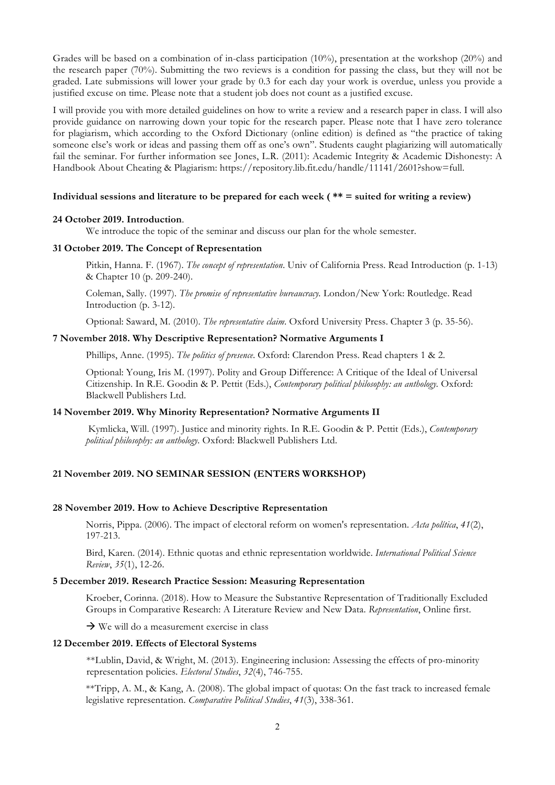Grades will be based on a combination of in-class participation (10%), presentation at the workshop (20%) and the research paper (70%). Submitting the two reviews is a condition for passing the class, but they will not be graded. Late submissions will lower your grade by 0.3 for each day your work is overdue, unless you provide a justified excuse on time. Please note that a student job does not count as a justified excuse.

I will provide you with more detailed guidelines on how to write a review and a research paper in class. I will also provide guidance on narrowing down your topic for the research paper. Please note that I have zero tolerance for plagiarism, which according to the Oxford Dictionary (online edition) is defined as "the practice of taking someone else's work or ideas and passing them off as one's own". Students caught plagiarizing will automatically fail the seminar. For further information see Jones, L.R. (2011): Academic Integrity & Academic Dishonesty: A Handbook About Cheating & Plagiarism: https://repository.lib.fit.edu/handle/11141/2601?show=full.

### **Individual sessions and literature to be prepared for each week ( \*\* = suited for writing a review)**

### **24 October 2019. Introduction**.

We introduce the topic of the seminar and discuss our plan for the whole semester.

#### **31 October 2019. The Concept of Representation**

Pitkin, Hanna. F. (1967). *The concept of representation*. Univ of California Press. Read Introduction (p. 1-13) & Chapter 10 (p. 209-240).

Coleman, Sally. (1997). *The promise of representative bureaucracy.* London/New York: Routledge. Read Introduction (p. 3-12).

Optional: Saward, M. (2010). *The representative claim*. Oxford University Press. Chapter 3 (p. 35-56).

#### **7 November 2018. Why Descriptive Representation? Normative Arguments I**

Phillips, Anne. (1995). *The politics of presence*. Oxford: Clarendon Press. Read chapters 1 & 2.

Optional: Young, Iris M. (1997). Polity and Group Difference: A Critique of the Ideal of Universal Citizenship. In R.E. Goodin & P. Pettit (Eds.), *Contemporary political philosophy: an anthology.* Oxford: Blackwell Publishers Ltd.

### **14 November 2019. Why Minority Representation? Normative Arguments II**

Kymlicka, Will. (1997). Justice and minority rights. In R.E. Goodin & P. Pettit (Eds.), *Contemporary political philosophy: an anthology.* Oxford: Blackwell Publishers Ltd.

# **21 November 2019. NO SEMINAR SESSION (ENTERS WORKSHOP)**

### **28 November 2019. How to Achieve Descriptive Representation**

Norris, Pippa. (2006). The impact of electoral reform on women's representation. *Acta política*, *41*(2), 197-213.

Bird, Karen. (2014). Ethnic quotas and ethnic representation worldwide. *International Political Science Review*, *35*(1), 12-26.

## **5 December 2019. Research Practice Session: Measuring Representation**

Kroeber, Corinna. (2018). How to Measure the Substantive Representation of Traditionally Excluded Groups in Comparative Research: A Literature Review and New Data. *Representation*, Online first.

 $\rightarrow$  We will do a measurement exercise in class

### **12 December 2019. Effects of Electoral Systems**

\*\*Lublin, David, & Wright, M. (2013). Engineering inclusion: Assessing the effects of pro-minority representation policies. *Electoral Studies*, *32*(4), 746-755.

\*\*Tripp, A. M., & Kang, A. (2008). The global impact of quotas: On the fast track to increased female legislative representation. *Comparative Political Studies*, *41*(3), 338-361.